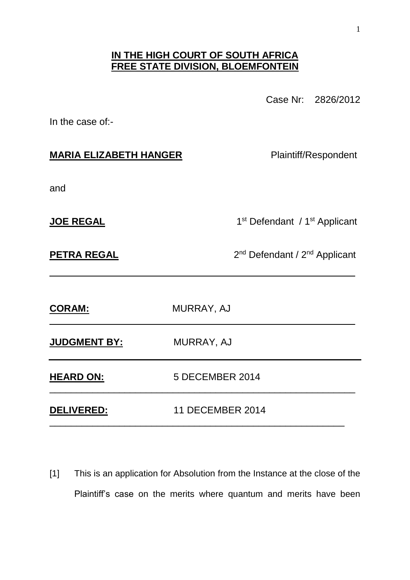## **IN THE HIGH COURT OF SOUTH AFRICA FREE STATE DIVISION, BLOEMFONTEIN**

Case Nr: 2826/2012

In the case of:-

## **MARIA ELIZABETH HANGER** Plaintiff/Respondent

and

**JOE REGAL** 

1<sup>st</sup> Defendant / 1<sup>st</sup> Applicant

**PETRA REGAL** 

2<sup>nd</sup> Defendant / 2<sup>nd</sup> Applicant

| <b>CORAM:</b>       | MURRAY, AJ              |
|---------------------|-------------------------|
| <b>JUDGMENT BY:</b> | MURRAY, AJ              |
| <b>HEARD ON:</b>    | 5 DECEMBER 2014         |
| <b>DELIVERED:</b>   | <b>11 DECEMBER 2014</b> |

\_\_\_\_\_\_\_\_\_\_\_\_\_\_\_\_\_\_\_\_\_\_\_\_\_\_\_\_\_\_\_\_\_\_\_\_\_\_\_\_\_\_\_\_\_\_\_\_\_\_\_\_\_\_\_\_\_

[1] This is an application for Absolution from the Instance at the close of the Plaintiff's case on the merits where quantum and merits have been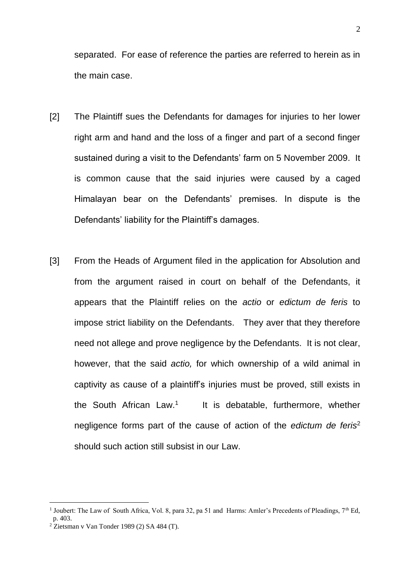separated. For ease of reference the parties are referred to herein as in the main case.

- [2] The Plaintiff sues the Defendants for damages for injuries to her lower right arm and hand and the loss of a finger and part of a second finger sustained during a visit to the Defendants' farm on 5 November 2009. It is common cause that the said injuries were caused by a caged Himalayan bear on the Defendants' premises. In dispute is the Defendants' liability for the Plaintiff's damages.
- [3] From the Heads of Argument filed in the application for Absolution and from the argument raised in court on behalf of the Defendants, it appears that the Plaintiff relies on the *actio* or *edictum de feris* to impose strict liability on the Defendants. They aver that they therefore need not allege and prove negligence by the Defendants. It is not clear, however, that the said *actio,* for which ownership of a wild animal in captivity as cause of a plaintiff's injuries must be proved, still exists in the South African Law.<sup>1</sup> It is debatable, furthermore, whether negligence forms part of the cause of action of the *edictum de feris*<sup>2</sup> should such action still subsist in our Law.

<sup>&</sup>lt;sup>1</sup> Joubert: The Law of South Africa, Vol. 8, para 32, pa 51 and Harms: Amler's Precedents of Pleadings, 7<sup>th</sup> Ed, p. 403.

 $2\text{ Ziets}$ man v Van Tonder 1989 (2) SA 484 (T).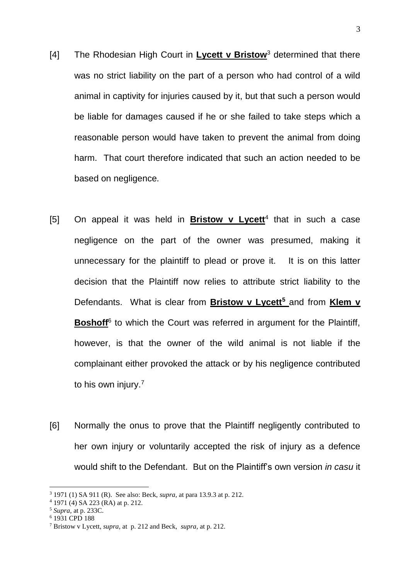- [4] The Rhodesian High Court in **Lycett v Bristow**<sup>3</sup> determined that there was no strict liability on the part of a person who had control of a wild animal in captivity for injuries caused by it, but that such a person would be liable for damages caused if he or she failed to take steps which a reasonable person would have taken to prevent the animal from doing harm. That court therefore indicated that such an action needed to be based on negligence*.*
- [5] On appeal it was held in **Bristow v Lycett**<sup>4</sup> that in such a case negligence on the part of the owner was presumed, making it unnecessary for the plaintiff to plead or prove it. It is on this latter decision that the Plaintiff now relies to attribute strict liability to the Defendants. What is clear from **Bristow v Lycett<sup>5</sup>** and from **Klem v**  Boshoff<sup>6</sup> to which the Court was referred in argument for the Plaintiff, however, is that the owner of the wild animal is not liable if the complainant either provoked the attack or by his negligence contributed to his own injury.<sup>7</sup>
- [6] Normally the onus to prove that the Plaintiff negligently contributed to her own injury or voluntarily accepted the risk of injury as a defence would shift to the Defendant. But on the Plaintiff's own version *in casu* it

<sup>3</sup> 1971 (1) SA 911 (R). See also: Beck, *supra,* at para 13.9.3 at p. 212.

<sup>4</sup> 1971 (4) SA 223 (RA) at p. 212.

<sup>5</sup> *Supra,* at p. 233C.

<sup>6</sup> 1931 CPD 188

<sup>7</sup> Bristow v Lycett, *supra,* at p. 212 and Beck, *supra,* at p. 212.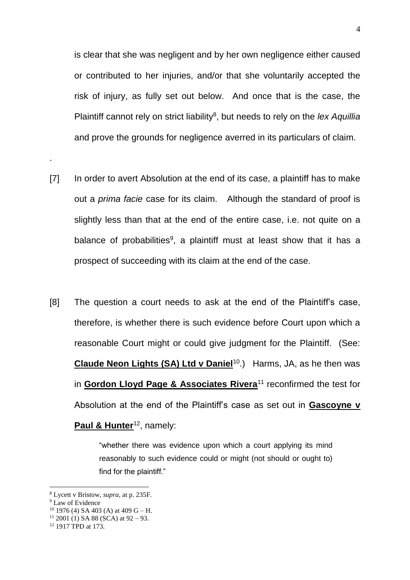is clear that she was negligent and by her own negligence either caused or contributed to her injuries, and/or that she voluntarily accepted the risk of injury, as fully set out below. And once that is the case, the Plaintiff cannot rely on strict liability<sup>8</sup>, but needs to rely on the lex Aquillia and prove the grounds for negligence averred in its particulars of claim.

- [7] In order to avert Absolution at the end of its case, a plaintiff has to make out a *prima facie* case for its claim. Although the standard of proof is slightly less than that at the end of the entire case, i.e. not quite on a balance of probabilities<sup>9</sup>, a plaintiff must at least show that it has a prospect of succeeding with its claim at the end of the case.
- [8] The question a court needs to ask at the end of the Plaintiff's case, therefore, is whether there is such evidence before Court upon which a reasonable Court might or could give judgment for the Plaintiff. (See: Claude Neon Lights (SA) Ltd v Daniel<sup>10</sup>.) Harms, JA, as he then was in **Gordon Lloyd Page & Associates Rivera**<sup>11</sup> reconfirmed the test for Absolution at the end of the Plaintiff's case as set out in **Gascoyne v Paul & Hunter**<sup>12</sup>, namely:

"whether there was evidence upon which a court applying its mind reasonably to such evidence could or might (not should or ought to) find for the plaintiff."

<u>.</u>

.

<sup>8</sup> Lycett v Bristow, *supra,* at p. 235F.

<sup>&</sup>lt;sup>9</sup> Law of Evidence

 $10$  1976 (4) SA 403 (A) at 409 G – H.

 $11$  2001 (1) SA 88 (SCA) at 92 – 93.

<sup>12</sup> 1917 TPD at 173.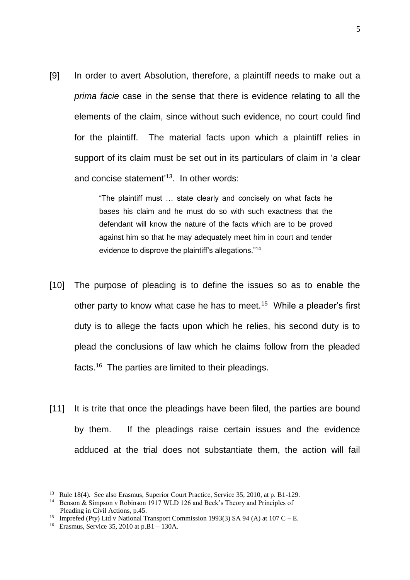[9] In order to avert Absolution, therefore, a plaintiff needs to make out a *prima facie* case in the sense that there is evidence relating to all the elements of the claim, since without such evidence, no court could find for the plaintiff. The material facts upon which a plaintiff relies in support of its claim must be set out in its particulars of claim in 'a clear and concise statement' <sup>13</sup>. In other words:

> "The plaintiff must … state clearly and concisely on what facts he bases his claim and he must do so with such exactness that the defendant will know the nature of the facts which are to be proved against him so that he may adequately meet him in court and tender evidence to disprove the plaintiff's allegations."<sup>14</sup>

- [10] The purpose of pleading is to define the issues so as to enable the other party to know what case he has to meet.<sup>15</sup> While a pleader's first duty is to allege the facts upon which he relies, his second duty is to plead the conclusions of law which he claims follow from the pleaded facts.<sup>16</sup> The parties are limited to their pleadings.
- [11] It is trite that once the pleadings have been filed, the parties are bound by them. If the pleadings raise certain issues and the evidence adduced at the trial does not substantiate them, the action will fail

<sup>&</sup>lt;sup>13</sup> Rule 18(4). See also Erasmus, Superior Court Practice, Service 35, 2010, at p. B1-129.

<sup>&</sup>lt;sup>14</sup> Benson & Simpson v Robinson 1917 WLD 126 and Beck's Theory and Principles of Pleading in Civil Actions, p.45.

<sup>&</sup>lt;sup>15</sup> Imprefed (Pty) Ltd v National Transport Commission 1993(3) SA 94 (A) at 107 C – E.

<sup>16</sup> Erasmus, Service 35, 2010 at p.B1 – 130A.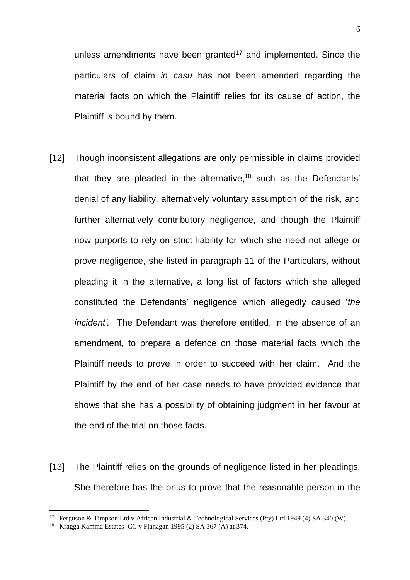unless amendments have been granted<sup>17</sup> and implemented. Since the particulars of claim *in casu* has not been amended regarding the material facts on which the Plaintiff relies for its cause of action, the Plaintiff is bound by them.

- [12] Though inconsistent allegations are only permissible in claims provided that they are pleaded in the alternative,<sup>18</sup> such as the Defendants' denial of any liability, alternatively voluntary assumption of the risk, and further alternatively contributory negligence, and though the Plaintiff now purports to rely on strict liability for which she need not allege or prove negligence, she listed in paragraph 11 of the Particulars, without pleading it in the alternative, a long list of factors which she alleged constituted the Defendants' negligence which allegedly caused '*the incident'.* The Defendant was therefore entitled, in the absence of an amendment, to prepare a defence on those material facts which the Plaintiff needs to prove in order to succeed with her claim. And the Plaintiff by the end of her case needs to have provided evidence that shows that she has a possibility of obtaining judgment in her favour at the end of the trial on those facts.
- [13] The Plaintiff relies on the grounds of negligence listed in her pleadings. She therefore has the onus to prove that the reasonable person in the

<sup>&</sup>lt;sup>17</sup> Ferguson & Timpson Ltd v African Industrial & Technological Services (Pty) Ltd 1949 (4) SA 340 (W).

<sup>18</sup> Kragga Kamma Estates CC v Flanagan 1995 (2) SA 367 (A) at 374.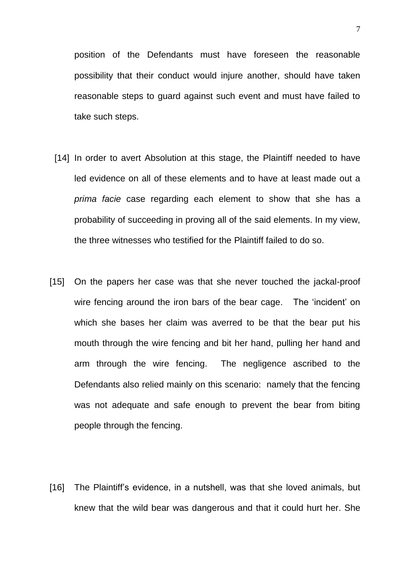position of the Defendants must have foreseen the reasonable possibility that their conduct would injure another, should have taken reasonable steps to guard against such event and must have failed to take such steps.

- [14] In order to avert Absolution at this stage, the Plaintiff needed to have led evidence on all of these elements and to have at least made out a *prima facie* case regarding each element to show that she has a probability of succeeding in proving all of the said elements. In my view, the three witnesses who testified for the Plaintiff failed to do so.
- [15] On the papers her case was that she never touched the jackal-proof wire fencing around the iron bars of the bear cage. The 'incident' on which she bases her claim was averred to be that the bear put his mouth through the wire fencing and bit her hand, pulling her hand and arm through the wire fencing. The negligence ascribed to the Defendants also relied mainly on this scenario: namely that the fencing was not adequate and safe enough to prevent the bear from biting people through the fencing.
- [16] The Plaintiff's evidence, in a nutshell, was that she loved animals, but knew that the wild bear was dangerous and that it could hurt her. She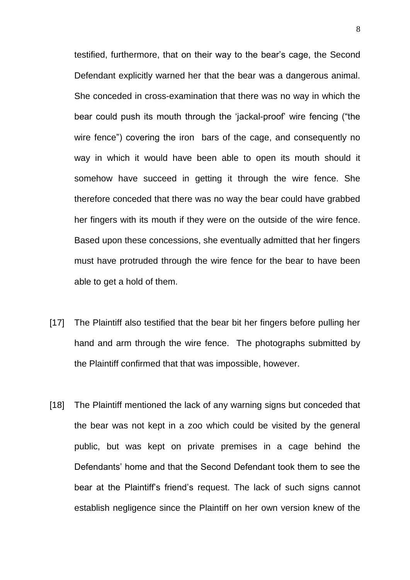testified, furthermore, that on their way to the bear's cage, the Second Defendant explicitly warned her that the bear was a dangerous animal. She conceded in cross-examination that there was no way in which the bear could push its mouth through the 'jackal-proof' wire fencing ("the wire fence") covering the iron bars of the cage, and consequently no way in which it would have been able to open its mouth should it somehow have succeed in getting it through the wire fence. She therefore conceded that there was no way the bear could have grabbed her fingers with its mouth if they were on the outside of the wire fence. Based upon these concessions, she eventually admitted that her fingers must have protruded through the wire fence for the bear to have been able to get a hold of them.

- [17] The Plaintiff also testified that the bear bit her fingers before pulling her hand and arm through the wire fence. The photographs submitted by the Plaintiff confirmed that that was impossible, however.
- [18] The Plaintiff mentioned the lack of any warning signs but conceded that the bear was not kept in a zoo which could be visited by the general public, but was kept on private premises in a cage behind the Defendants' home and that the Second Defendant took them to see the bear at the Plaintiff's friend's request. The lack of such signs cannot establish negligence since the Plaintiff on her own version knew of the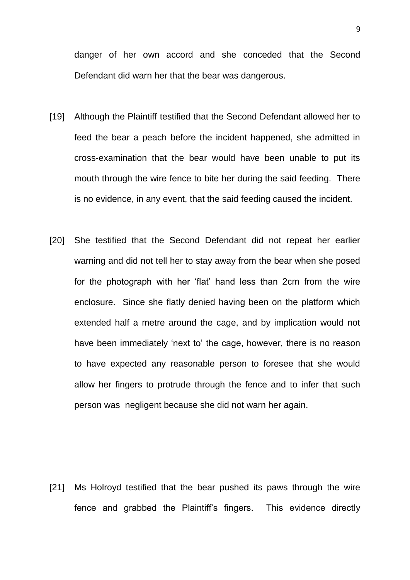danger of her own accord and she conceded that the Second Defendant did warn her that the bear was dangerous.

- [19] Although the Plaintiff testified that the Second Defendant allowed her to feed the bear a peach before the incident happened, she admitted in cross-examination that the bear would have been unable to put its mouth through the wire fence to bite her during the said feeding. There is no evidence, in any event, that the said feeding caused the incident.
- [20] She testified that the Second Defendant did not repeat her earlier warning and did not tell her to stay away from the bear when she posed for the photograph with her 'flat' hand less than 2cm from the wire enclosure. Since she flatly denied having been on the platform which extended half a metre around the cage, and by implication would not have been immediately 'next to' the cage, however, there is no reason to have expected any reasonable person to foresee that she would allow her fingers to protrude through the fence and to infer that such person was negligent because she did not warn her again.

[21] Ms Holroyd testified that the bear pushed its paws through the wire fence and grabbed the Plaintiff's fingers. This evidence directly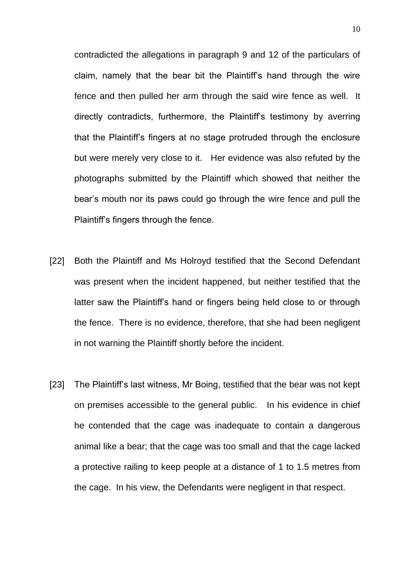contradicted the allegations in paragraph 9 and 12 of the particulars of claim, namely that the bear bit the Plaintiff's hand through the wire fence and then pulled her arm through the said wire fence as well. It directly contradicts, furthermore, the Plaintiff's testimony by averring that the Plaintiff's fingers at no stage protruded through the enclosure but were merely very close to it. Her evidence was also refuted by the photographs submitted by the Plaintiff which showed that neither the bear's mouth nor its paws could go through the wire fence and pull the Plaintiff's fingers through the fence.

- [22] Both the Plaintiff and Ms Holroyd testified that the Second Defendant was present when the incident happened, but neither testified that the latter saw the Plaintiff's hand or fingers being held close to or through the fence. There is no evidence, therefore, that she had been negligent in not warning the Plaintiff shortly before the incident.
- [23] The Plaintiff's last witness, Mr Boing, testified that the bear was not kept on premises accessible to the general public. In his evidence in chief he contended that the cage was inadequate to contain a dangerous animal like a bear; that the cage was too small and that the cage lacked a protective railing to keep people at a distance of 1 to 1.5 metres from the cage. In his view, the Defendants were negligent in that respect.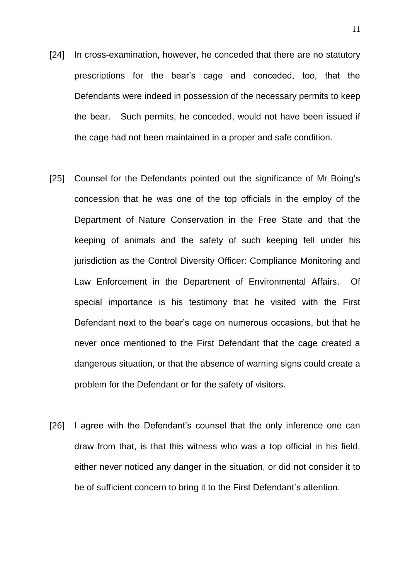- [24] In cross-examination, however, he conceded that there are no statutory prescriptions for the bear's cage and conceded, too, that the Defendants were indeed in possession of the necessary permits to keep the bear. Such permits, he conceded, would not have been issued if the cage had not been maintained in a proper and safe condition.
- [25] Counsel for the Defendants pointed out the significance of Mr Boing's concession that he was one of the top officials in the employ of the Department of Nature Conservation in the Free State and that the keeping of animals and the safety of such keeping fell under his jurisdiction as the Control Diversity Officer: Compliance Monitoring and Law Enforcement in the Department of Environmental Affairs. Of special importance is his testimony that he visited with the First Defendant next to the bear's cage on numerous occasions, but that he never once mentioned to the First Defendant that the cage created a dangerous situation, or that the absence of warning signs could create a problem for the Defendant or for the safety of visitors.
- [26] I agree with the Defendant's counsel that the only inference one can draw from that, is that this witness who was a top official in his field, either never noticed any danger in the situation, or did not consider it to be of sufficient concern to bring it to the First Defendant's attention.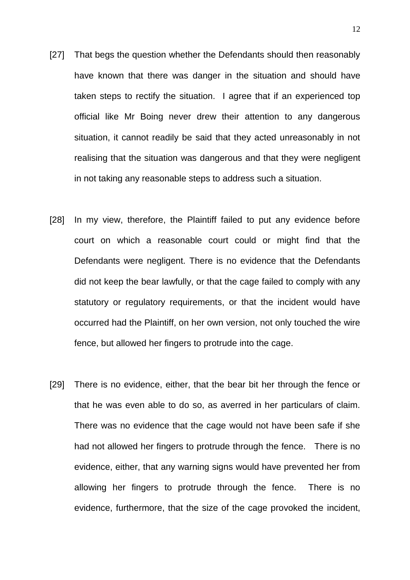- [27] That begs the question whether the Defendants should then reasonably have known that there was danger in the situation and should have taken steps to rectify the situation. I agree that if an experienced top official like Mr Boing never drew their attention to any dangerous situation, it cannot readily be said that they acted unreasonably in not realising that the situation was dangerous and that they were negligent in not taking any reasonable steps to address such a situation.
- [28] In my view, therefore, the Plaintiff failed to put any evidence before court on which a reasonable court could or might find that the Defendants were negligent. There is no evidence that the Defendants did not keep the bear lawfully, or that the cage failed to comply with any statutory or regulatory requirements, or that the incident would have occurred had the Plaintiff, on her own version, not only touched the wire fence, but allowed her fingers to protrude into the cage.
- [29] There is no evidence, either, that the bear bit her through the fence or that he was even able to do so, as averred in her particulars of claim. There was no evidence that the cage would not have been safe if she had not allowed her fingers to protrude through the fence. There is no evidence, either, that any warning signs would have prevented her from allowing her fingers to protrude through the fence. There is no evidence, furthermore, that the size of the cage provoked the incident,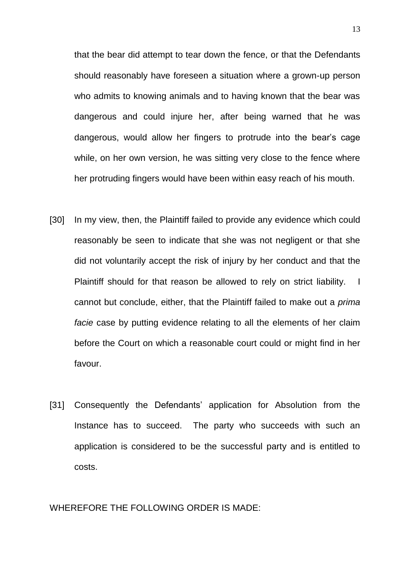that the bear did attempt to tear down the fence, or that the Defendants should reasonably have foreseen a situation where a grown-up person who admits to knowing animals and to having known that the bear was dangerous and could injure her, after being warned that he was dangerous, would allow her fingers to protrude into the bear's cage while, on her own version, he was sitting very close to the fence where her protruding fingers would have been within easy reach of his mouth.

- [30] In my view, then, the Plaintiff failed to provide any evidence which could reasonably be seen to indicate that she was not negligent or that she did not voluntarily accept the risk of injury by her conduct and that the Plaintiff should for that reason be allowed to rely on strict liability. I cannot but conclude, either, that the Plaintiff failed to make out a *prima facie* case by putting evidence relating to all the elements of her claim before the Court on which a reasonable court could or might find in her favour.
- [31] Consequently the Defendants' application for Absolution from the Instance has to succeed. The party who succeeds with such an application is considered to be the successful party and is entitled to costs.

## WHEREFORE THE FOLLOWING ORDER IS MADE: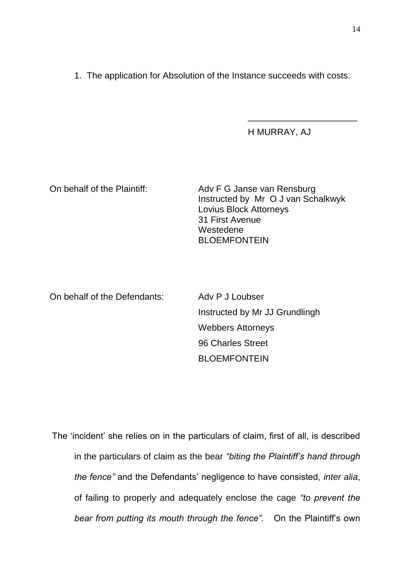1. The application for Absolution of the Instance succeeds with costs.

H MURRAY, AJ

\_\_\_\_\_\_\_\_\_\_\_\_\_\_\_\_\_\_\_\_\_\_

On behalf of the Plaintiff: Adv F G Janse van Rensburg Instructed by Mr O J van Schalkwyk Lovius Block Attorneys 31 First Avenue Westedene BLOEMFONTEIN

On behalf of the Defendants: Adv P J Loubser Instructed by Mr JJ Grundlingh Webbers Attorneys 96 Charles Street BLOEMFONTEIN

The 'incident' she relies on in the particulars of claim, first of all, is described in the particulars of claim as the bear *"biting the Plaintiff's hand through the fence"* and the Defendants' negligence to have consisted, *inter alia*, of failing to properly and adequately enclose the cage *"to prevent the bear from putting its mouth through the fence".* On the Plaintiff's own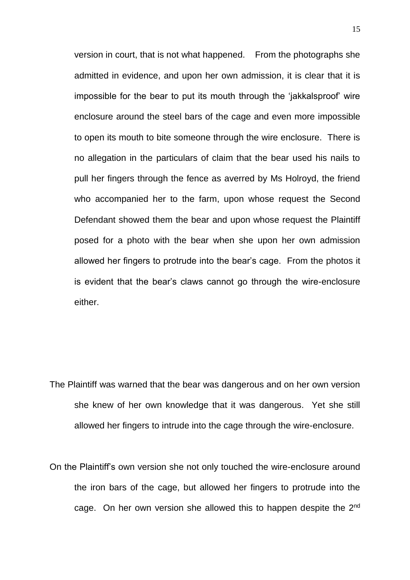version in court, that is not what happened. From the photographs she admitted in evidence, and upon her own admission, it is clear that it is impossible for the bear to put its mouth through the 'jakkalsproof' wire enclosure around the steel bars of the cage and even more impossible to open its mouth to bite someone through the wire enclosure. There is no allegation in the particulars of claim that the bear used his nails to pull her fingers through the fence as averred by Ms Holroyd, the friend who accompanied her to the farm, upon whose request the Second Defendant showed them the bear and upon whose request the Plaintiff posed for a photo with the bear when she upon her own admission allowed her fingers to protrude into the bear's cage. From the photos it is evident that the bear's claws cannot go through the wire-enclosure either.

- The Plaintiff was warned that the bear was dangerous and on her own version she knew of her own knowledge that it was dangerous. Yet she still allowed her fingers to intrude into the cage through the wire-enclosure.
- On the Plaintiff's own version she not only touched the wire-enclosure around the iron bars of the cage, but allowed her fingers to protrude into the cage. On her own version she allowed this to happen despite the 2nd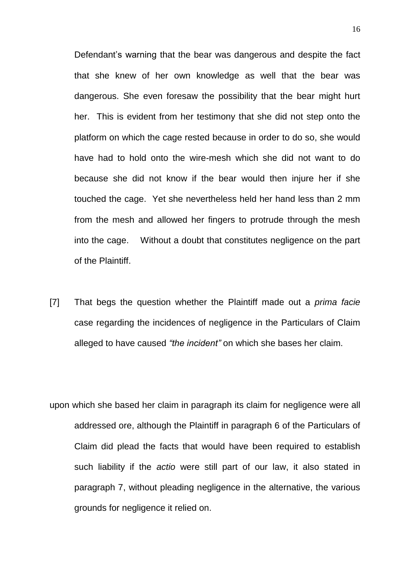Defendant's warning that the bear was dangerous and despite the fact that she knew of her own knowledge as well that the bear was dangerous. She even foresaw the possibility that the bear might hurt her. This is evident from her testimony that she did not step onto the platform on which the cage rested because in order to do so, she would have had to hold onto the wire-mesh which she did not want to do because she did not know if the bear would then injure her if she touched the cage. Yet she nevertheless held her hand less than 2 mm from the mesh and allowed her fingers to protrude through the mesh into the cage. Without a doubt that constitutes negligence on the part of the Plaintiff.

- [7] That begs the question whether the Plaintiff made out a *prima facie*  case regarding the incidences of negligence in the Particulars of Claim alleged to have caused *"the incident"* on which she bases her claim.
- upon which she based her claim in paragraph its claim for negligence were all addressed ore, although the Plaintiff in paragraph 6 of the Particulars of Claim did plead the facts that would have been required to establish such liability if the *actio* were still part of our law, it also stated in paragraph 7, without pleading negligence in the alternative, the various grounds for negligence it relied on.